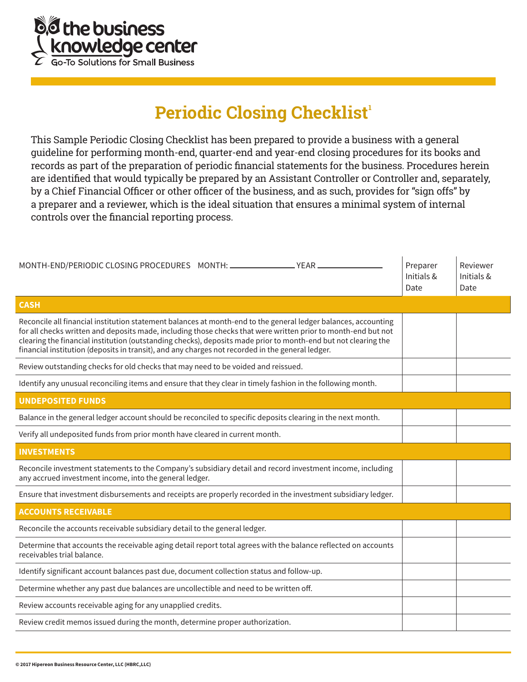

## **Periodic Closing Checklist<sup>1</sup>**

This Sample Periodic Closing Checklist has been prepared to provide a business with a general guideline for performing month-end, quarter-end and year-end closing procedures for its books and records as part of the preparation of periodic financial statements for the business. Procedures herein are identified that would typically be prepared by an Assistant Controller or Controller and, separately, by a Chief Financial Officer or other officer of the business, and as such, provides for "sign offs" by a preparer and a reviewer, which is the ideal situation that ensures a minimal system of internal controls over the financial reporting process.

| Initials &<br>Date                                                                                                                                                                                                                                                                                                                                                                                                                                    | Reviewer<br>Preparer<br>Initials &<br>Date |
|-------------------------------------------------------------------------------------------------------------------------------------------------------------------------------------------------------------------------------------------------------------------------------------------------------------------------------------------------------------------------------------------------------------------------------------------------------|--------------------------------------------|
| <b>CASH</b>                                                                                                                                                                                                                                                                                                                                                                                                                                           |                                            |
| Reconcile all financial institution statement balances at month-end to the general ledger balances, accounting<br>for all checks written and deposits made, including those checks that were written prior to month-end but not<br>clearing the financial institution (outstanding checks), deposits made prior to month-end but not clearing the<br>financial institution (deposits in transit), and any charges not recorded in the general ledger. |                                            |
| Review outstanding checks for old checks that may need to be voided and reissued.                                                                                                                                                                                                                                                                                                                                                                     |                                            |
| Identify any unusual reconciling items and ensure that they clear in timely fashion in the following month.                                                                                                                                                                                                                                                                                                                                           |                                            |
| <b>UNDEPOSITED FUNDS</b>                                                                                                                                                                                                                                                                                                                                                                                                                              |                                            |
| Balance in the general ledger account should be reconciled to specific deposits clearing in the next month.                                                                                                                                                                                                                                                                                                                                           |                                            |
| Verify all undeposited funds from prior month have cleared in current month.                                                                                                                                                                                                                                                                                                                                                                          |                                            |
| <b>INVESTMENTS</b>                                                                                                                                                                                                                                                                                                                                                                                                                                    |                                            |
| Reconcile investment statements to the Company's subsidiary detail and record investment income, including<br>any accrued investment income, into the general ledger.                                                                                                                                                                                                                                                                                 |                                            |
| Ensure that investment disbursements and receipts are properly recorded in the investment subsidiary ledger.                                                                                                                                                                                                                                                                                                                                          |                                            |
| <b>ACCOUNTS RECEIVABLE</b>                                                                                                                                                                                                                                                                                                                                                                                                                            |                                            |
| Reconcile the accounts receivable subsidiary detail to the general ledger.                                                                                                                                                                                                                                                                                                                                                                            |                                            |
| Determine that accounts the receivable aging detail report total agrees with the balance reflected on accounts<br>receivables trial balance.                                                                                                                                                                                                                                                                                                          |                                            |
| Identify significant account balances past due, document collection status and follow-up.                                                                                                                                                                                                                                                                                                                                                             |                                            |
| Determine whether any past due balances are uncollectible and need to be written off.                                                                                                                                                                                                                                                                                                                                                                 |                                            |
| Review accounts receivable aging for any unapplied credits.                                                                                                                                                                                                                                                                                                                                                                                           |                                            |
| Review credit memos issued during the month, determine proper authorization.                                                                                                                                                                                                                                                                                                                                                                          |                                            |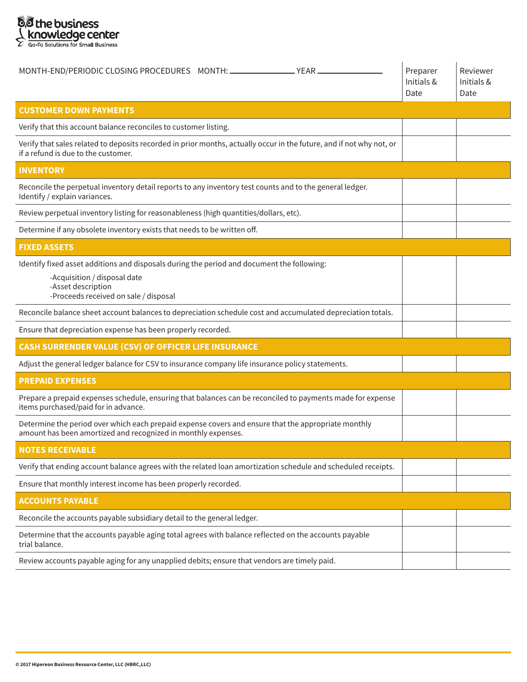

| MONTH-END/PERIODIC CLOSING PROCEDURES MONTH:                                                                                                                                              | Preparer<br>Initials &<br>Date | Reviewer<br>Initials &<br>Date |
|-------------------------------------------------------------------------------------------------------------------------------------------------------------------------------------------|--------------------------------|--------------------------------|
| <b>CUSTOMER DOWN PAYMENTS</b>                                                                                                                                                             |                                |                                |
| Verify that this account balance reconciles to customer listing.                                                                                                                          |                                |                                |
| Verify that sales related to deposits recorded in prior months, actually occur in the future, and if not why not, or<br>if a refund is due to the customer.                               |                                |                                |
| <b>INVENTORY</b>                                                                                                                                                                          |                                |                                |
| Reconcile the perpetual inventory detail reports to any inventory test counts and to the general ledger.<br>Identify / explain variances.                                                 |                                |                                |
| Review perpetual inventory listing for reasonableness (high quantities/dollars, etc).                                                                                                     |                                |                                |
| Determine if any obsolete inventory exists that needs to be written off.                                                                                                                  |                                |                                |
| <b>FIXED ASSETS</b>                                                                                                                                                                       |                                |                                |
| Identify fixed asset additions and disposals during the period and document the following:<br>-Acquisition / disposal date<br>-Asset description<br>-Proceeds received on sale / disposal |                                |                                |
| Reconcile balance sheet account balances to depreciation schedule cost and accumulated depreciation totals.                                                                               |                                |                                |
| Ensure that depreciation expense has been properly recorded.                                                                                                                              |                                |                                |
| CASH SURRENDER VALUE (CSV) OF OFFICER LIFE INSURANCE                                                                                                                                      |                                |                                |
| Adjust the general ledger balance for CSV to insurance company life insurance policy statements.                                                                                          |                                |                                |
| <b>PREPAID EXPENSES</b>                                                                                                                                                                   |                                |                                |
| Prepare a prepaid expenses schedule, ensuring that balances can be reconciled to payments made for expense<br>items purchased/paid for in advance.                                        |                                |                                |
| Determine the period over which each prepaid expense covers and ensure that the appropriate monthly<br>amount has been amortized and recognized in monthly expenses.                      |                                |                                |
| <b>NOTES RECEIVABLE</b>                                                                                                                                                                   |                                |                                |
| Verify that ending account balance agrees with the related loan amortization schedule and scheduled receipts.                                                                             |                                |                                |
| Ensure that monthly interest income has been properly recorded.                                                                                                                           |                                |                                |
| <b>ACCOUNTS PAYABLE</b>                                                                                                                                                                   |                                |                                |
| Reconcile the accounts payable subsidiary detail to the general ledger.                                                                                                                   |                                |                                |
| Determine that the accounts payable aging total agrees with balance reflected on the accounts payable<br>trial balance.                                                                   |                                |                                |
| Review accounts payable aging for any unapplied debits; ensure that vendors are timely paid.                                                                                              |                                |                                |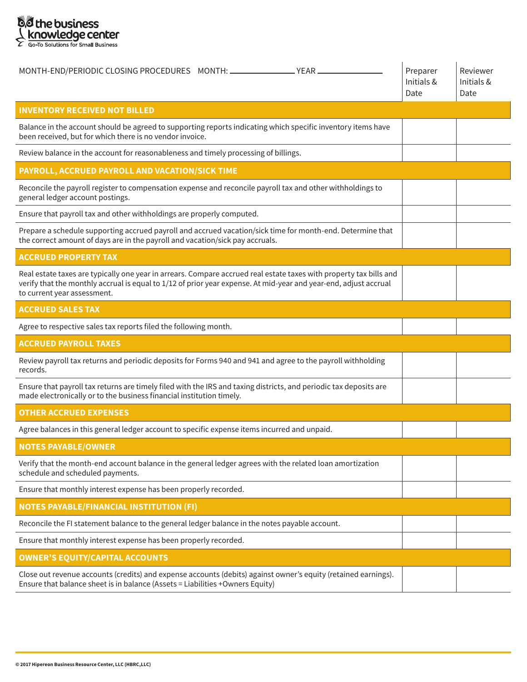

| MONTH-END/PERIODIC CLOSING PROCEDURES MONTH: _____________________YEAR ______                                                                                                                                                                                         | Preparer<br>Initials &<br>Date | Reviewer<br>Initials &<br>Date |
|-----------------------------------------------------------------------------------------------------------------------------------------------------------------------------------------------------------------------------------------------------------------------|--------------------------------|--------------------------------|
| <b>INVENTORY RECEIVED NOT BILLED</b>                                                                                                                                                                                                                                  |                                |                                |
| Balance in the account should be agreed to supporting reports indicating which specific inventory items have<br>been received, but for which there is no vendor invoice.                                                                                              |                                |                                |
| Review balance in the account for reasonableness and timely processing of billings.                                                                                                                                                                                   |                                |                                |
| PAYROLL, ACCRUED PAYROLL AND VACATION/SICK TIME                                                                                                                                                                                                                       |                                |                                |
| Reconcile the payroll register to compensation expense and reconcile payroll tax and other withholdings to<br>general ledger account postings.                                                                                                                        |                                |                                |
| Ensure that payroll tax and other withholdings are properly computed.                                                                                                                                                                                                 |                                |                                |
| Prepare a schedule supporting accrued payroll and accrued vacation/sick time for month-end. Determine that<br>the correct amount of days are in the payroll and vacation/sick pay accruals.                                                                           |                                |                                |
| <b>ACCRUED PROPERTY TAX</b>                                                                                                                                                                                                                                           |                                |                                |
| Real estate taxes are typically one year in arrears. Compare accrued real estate taxes with property tax bills and<br>verify that the monthly accrual is equal to 1/12 of prior year expense. At mid-year and year-end, adjust accrual<br>to current year assessment. |                                |                                |
| <b>ACCRUED SALES TAX</b>                                                                                                                                                                                                                                              |                                |                                |
| Agree to respective sales tax reports filed the following month.                                                                                                                                                                                                      |                                |                                |
| <b>ACCRUED PAYROLL TAXES</b>                                                                                                                                                                                                                                          |                                |                                |
| Review payroll tax returns and periodic deposits for Forms 940 and 941 and agree to the payroll withholding<br>records.                                                                                                                                               |                                |                                |
| Ensure that payroll tax returns are timely filed with the IRS and taxing districts, and periodic tax deposits are<br>made electronically or to the business financial institution timely.                                                                             |                                |                                |
| <b>OTHER ACCRUED EXPENSES</b>                                                                                                                                                                                                                                         |                                |                                |
| Agree balances in this general ledger account to specific expense items incurred and unpaid.                                                                                                                                                                          |                                |                                |
| <b>NOTES PAYABLE/OWNER</b>                                                                                                                                                                                                                                            |                                |                                |
| Verify that the month-end account balance in the general ledger agrees with the related loan amortization<br>schedule and scheduled payments.                                                                                                                         |                                |                                |
| Ensure that monthly interest expense has been properly recorded.                                                                                                                                                                                                      |                                |                                |
| <b>NOTES PAYABLE/FINANCIAL INSTITUTION (FI)</b>                                                                                                                                                                                                                       |                                |                                |
| Reconcile the FI statement balance to the general ledger balance in the notes payable account.                                                                                                                                                                        |                                |                                |
| Ensure that monthly interest expense has been properly recorded.                                                                                                                                                                                                      |                                |                                |
| <b>OWNER'S EQUITY/CAPITAL ACCOUNTS</b>                                                                                                                                                                                                                                |                                |                                |
| Close out revenue accounts (credits) and expense accounts (debits) against owner's equity (retained earnings).<br>Ensure that balance sheet is in balance (Assets = Liabilities +Owners Equity)                                                                       |                                |                                |